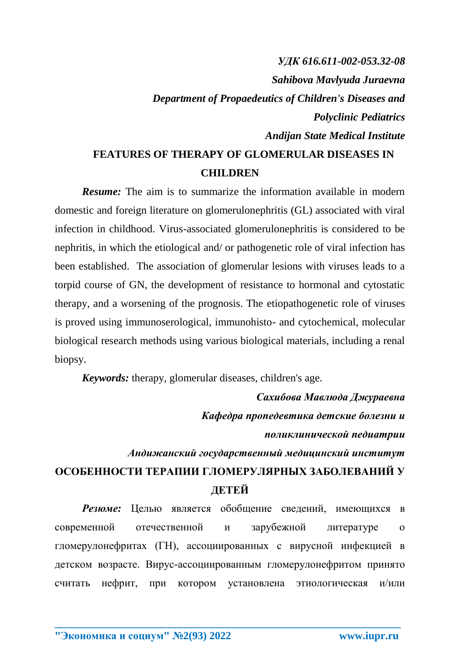## *УДК 616.611-002-053.32-08 Sahibova Mavlyuda Juraevna Department of Propaedeutics of Children's Diseases and Polyclinic Pediatrics Andijan State Medical Institute* **FEATURES OF THERAPY OF GLOMERULAR DISEASES IN**

## **CHILDREN**

*Resume:* The aim is to summarize the information available in modern domestic and foreign literature on glomerulonephritis (GL) associated with viral infection in childhood. Virus-associated glomerulonephritis is considered to be nephritis, in which the etiological and/ or pathogenetic role of viral infection has been established. The association of glomerular lesions with viruses leads to a torpid course of GN, the development of resistance to hormonal and cytostatic therapy, and a worsening of the prognosis. The etiopathogenetic role of viruses is proved using immunoserological, immunohisto- and cytochemical, molecular biological research methods using various biological materials, including a renal biopsy.

*Keywords:* therapy, glomerular diseases, children's age.

*Сахибова Мавлюда Джураевна Кафедра пропедевтика детские болезни и поликлинической педиатрии* 

*Андижанский государственный медицинский институт* 

## **ОСОБЕННОСТИ ТЕРАПИИ ГЛОМЕРУЛЯРНЫХ ЗАБОЛЕВАНИЙ У ДЕТЕЙ**

*Резюме:* Целью является обобщение сведений, имеющихся в современной отечественной и зарубежной литературе о гломерулонефритах (ГН), ассоциированных с вирусной инфекцией в детском возрасте. Вирус-ассоциированным гломерулонефритом принято считать нефрит, при котором установлена этиологическая и/или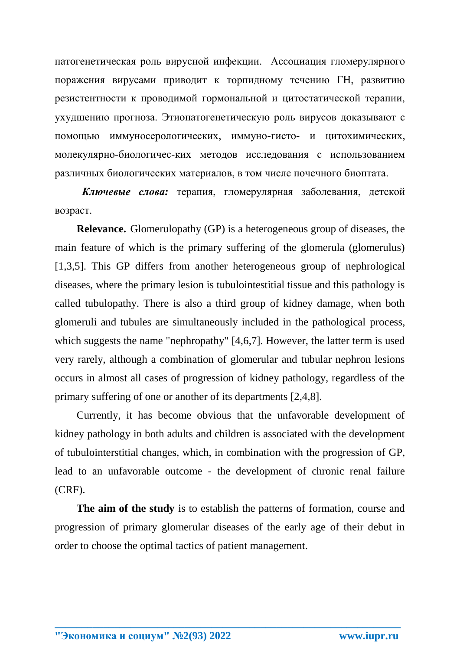патогенетическая роль вирусной инфекции. Ассоциация гломерулярного поражения вирусами приводит к торпидному течению ГН, развитию резистентности к проводимой гормональной и цитостатической терапии, ухудшению прогноза. Этиопатогенетическую роль вирусов доказывают с помощью иммуносерологических, иммуно-гисто- и цитохимических, молекулярно-биологичес-ких методов исследования с использованием различных биологических материалов, в том числе почечного биоптата.

Ключевые слова: терапия, гломерулярная заболевания, детской возраст.

**Relevance.** Glomerulopathy (GP) is a heterogeneous group of diseases, the main feature of which is the primary suffering of the glomerula (glomerulus) [1,3,5]. This GP differs from another heterogeneous group of nephrological diseases, where the primary lesion is tubulointestitial tissue and this pathology is called tubulopathy. There is also a third group of kidney damage, when both glomeruli and tubules are simultaneously included in the pathological process, which suggests the name "nephropathy"  $[4,6,7]$ . However, the latter term is used very rarely, although a combination of glomerular and tubular nephron lesions occurs in almost all cases of progression of kidney pathology, regardless of the primary suffering of one or another of its departments [2,4,8].

Currently, it has become obvious that the unfavorable development of kidney pathology in both adults and children is associated with the development of tubulointerstitial changes, which, in combination with the progression of GP, lead to an unfavorable outcome - the development of chronic renal failure  $(CRF)$ .

The aim of the study is to establish the patterns of formation, course and progression of primary glomerular diseases of the early age of their debut in order to choose the optimal tactics of patient management.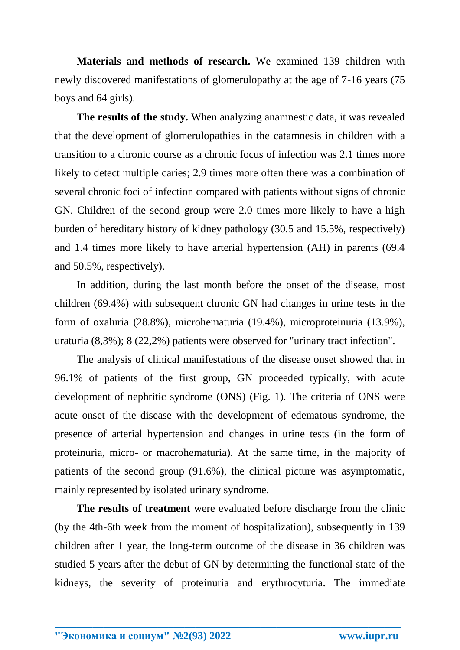**Materials and methods of research.** We examined 139 children with newly discovered manifestations of glomerulopathy at the age of 7-16 years (75 boys and 64 girls).

**The results of the study.** When analyzing anamnestic data, it was revealed that the development of glomerulopathies in the catamnesis in children with a transition to a chronic course as a chronic focus of infection was 2.1 times more likely to detect multiple caries; 2.9 times more often there was a combination of several chronic foci of infection compared with patients without signs of chronic GN. Children of the second group were 2.0 times more likely to have a high burden of hereditary history of kidney pathology (30.5 and 15.5%, respectively) and 1.4 times more likely to have arterial hypertension (AH) in parents (69.4 and 50.5%, respectively).

In addition, during the last month before the onset of the disease, most children (69.4%) with subsequent chronic GN had changes in urine tests in the form of oxaluria (28.8%), microhematuria (19.4%), microproteinuria (13.9%), uraturia (8,3%); 8 (22,2%) patients were observed for "urinary tract infection".

The analysis of clinical manifestations of the disease onset showed that in 96.1% of patients of the first group, GN proceeded typically, with acute development of nephritic syndrome (ONS) (Fig. 1). The criteria of ONS were acute onset of the disease with the development of edematous syndrome, the presence of arterial hypertension and changes in urine tests (in the form of proteinuria, micro- or macrohematuria). At the same time, in the majority of patients of the second group (91.6%), the clinical picture was asymptomatic, mainly represented by isolated urinary syndrome.

**The results of treatment** were evaluated before discharge from the clinic (by the 4th-6th week from the moment of hospitalization), subsequently in 139 children after 1 year, the long-term outcome of the disease in 36 children was studied 5 years after the debut of GN by determining the functional state of the kidneys, the severity of proteinuria and erythrocyturia. The immediate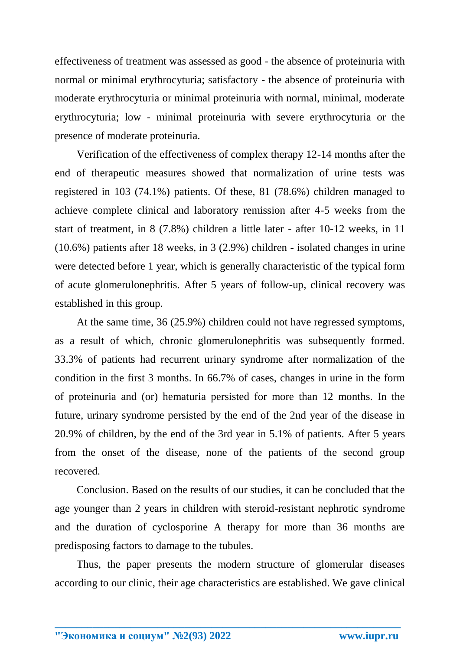effectiveness of treatment was assessed as good - the absence of proteinuria with normal or minimal erythrocyturia; satisfactory - the absence of proteinuria with moderate erythrocyturia or minimal proteinuria with normal, minimal, moderate erythrocyturia; low - minimal proteinuria with severe erythrocyturia or the presence of moderate proteinuria.

Verification of the effectiveness of complex therapy 12-14 months after the end of therapeutic measures showed that normalization of urine tests was registered in 103 (74.1%) patients. Of these, 81 (78.6%) children managed to achieve complete clinical and laboratory remission after 4-5 weeks from the start of treatment, in 8 (7.8%) children a little later - after 10-12 weeks, in 11 (10.6%) patients after 18 weeks, in 3 (2.9%) children - isolated changes in urine were detected before 1 year, which is generally characteristic of the typical form of acute glomerulonephritis. After 5 years of follow-up, clinical recovery was established in this group.

At the same time, 36 (25.9%) children could not have regressed symptoms, as a result of which, chronic glomerulonephritis was subsequently formed. 33.3% of patients had recurrent urinary syndrome after normalization of the condition in the first 3 months. In 66.7% of cases, changes in urine in the form of proteinuria and (or) hematuria persisted for more than 12 months. In the future, urinary syndrome persisted by the end of the 2nd year of the disease in 20.9% of children, by the end of the 3rd year in 5.1% of patients. After 5 years from the onset of the disease, none of the patients of the second group recovered.

Conclusion. Based on the results of our studies, it can be concluded that the age younger than 2 years in children with steroid-resistant nephrotic syndrome and the duration of cyclosporine A therapy for more than 36 months are predisposing factors to damage to the tubules.

Thus, the paper presents the modern structure of glomerular diseases according to our clinic, their age characteristics are established. We gave clinical